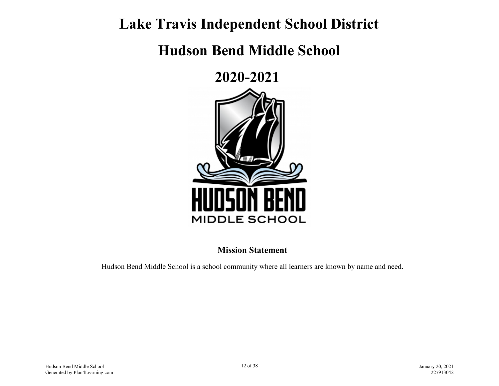## **Lake Travis Independent School District**

## **Hudson Bend Middle School**

**2020-2021** 



**Mission Statement**

Hudson Bend Middle School is a school community where all learners are known by name and need.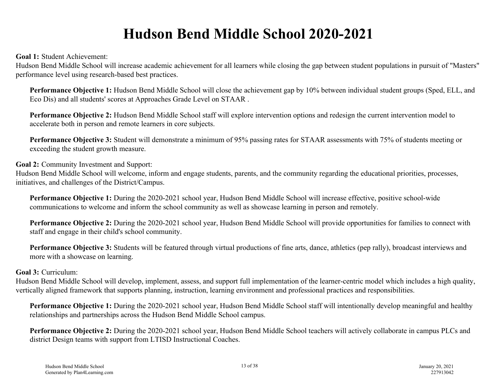## **Hudson Bend Middle School 2020-2021**

**Goal 1:** Student Achievement:

Hudson Bend Middle School will increase academic achievement for all learners while closing the gap between student populations in pursuit of "Masters" performance level using research-based best practices.

**Performance Objective 1:** Hudson Bend Middle School will close the achievement gap by 10% between individual student groups (Sped, ELL, and Eco Dis) and all students' scores at Approaches Grade Level on STAAR .

**Performance Objective 2:** Hudson Bend Middle School staff will explore intervention options and redesign the current intervention model to accelerate both in person and remote learners in core subjects.

**Performance Objective 3:** Student will demonstrate a minimum of 95% passing rates for STAAR assessments with 75% of students meeting or exceeding the student growth measure.

**Goal 2:** Community Investment and Support:

Hudson Bend Middle School will welcome, inform and engage students, parents, and the community regarding the educational priorities, processes, initiatives, and challenges of the District/Campus.

**Performance Objective 1:** During the 2020-2021 school year, Hudson Bend Middle School will increase effective, positive school-wide communications to welcome and inform the school community as well as showcase learning in person and remotely.

**Performance Objective 2:** During the 2020-2021 school year, Hudson Bend Middle School will provide opportunities for families to connect with staff and engage in their child's school community.

**Performance Objective 3:** Students will be featured through virtual productions of fine arts, dance, athletics (pep rally), broadcast interviews and more with a showcase on learning.

## **Goal 3:** Curriculum:

Hudson Bend Middle School will develop, implement, assess, and support full implementation of the learner-centric model which includes a high quality, vertically aligned framework that supports planning, instruction, learning environment and professional practices and responsibilities.

**Performance Objective 1:** During the 2020-2021 school year, Hudson Bend Middle School staff will intentionally develop meaningful and healthy relationships and partnerships across the Hudson Bend Middle School campus.

**Performance Objective 2:** During the 2020-2021 school year, Hudson Bend Middle School teachers will actively collaborate in campus PLCs and district Design teams with support from LTISD Instructional Coaches.